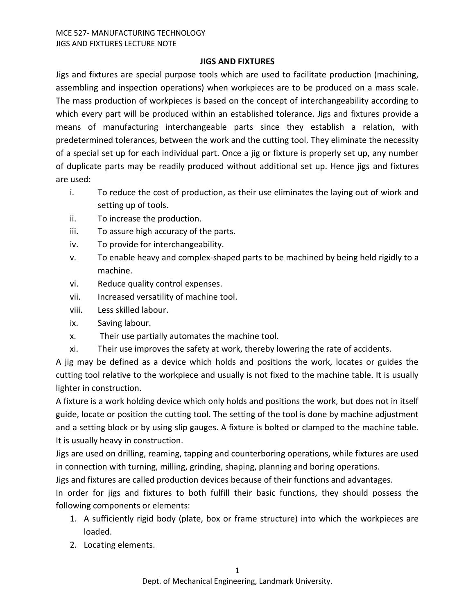## **JIGS AND FIXTURES**

Jigs and fixtures are special purpose tools which are used to facilitate production (machining, assembling and inspection operations) when workpieces are to be produced on a mass scale. The mass production of workpieces is based on the concept of interchangeability according to which every part will be produced within an established tolerance. Jigs and fixtures provide a means of manufacturing interchangeable parts since they establish a relation, with predetermined tolerances, between the work and the cutting tool. They eliminate the necessity of a special set up for each individual part. Once a jig or fixture is properly set up, any number of duplicate parts may be readily produced without additional set up. Hence jigs and fixtures are used:

- i. To reduce the cost of production, as their use eliminates the laying out of wiork and setting up of tools.
- ii. To increase the production.
- iii. To assure high accuracy of the parts.
- iv. To provide for interchangeability.
- v. To enable heavy and complex-shaped parts to be machined by being held rigidly to a machine.
- vi. Reduce quality control expenses.
- vii. Increased versatility of machine tool.
- viii. Less skilled labour.
- ix. Saving labour.
- x. Their use partially automates the machine tool.
- xi. Their use improves the safety at work, thereby lowering the rate of accidents.

A jig may be defined as a device which holds and positions the work, locates or guides the cutting tool relative to the workpiece and usually is not fixed to the machine table. It is usually lighter in construction.

A fixture is a work holding device which only holds and positions the work, but does not in itself guide, locate or position the cutting tool. The setting of the tool is done by machine adjustment and a setting block or by using slip gauges. A fixture is bolted or clamped to the machine table. It is usually heavy in construction.

Jigs are used on drilling, reaming, tapping and counterboring operations, while fixtures are used in connection with turning, milling, grinding, shaping, planning and boring operations.

Jigs and fixtures are called production devices because of their functions and advantages.

In order for jigs and fixtures to both fulfill their basic functions, they should possess the following components or elements:

- 1. A sufficiently rigid body (plate, box or frame structure) into which the workpieces are loaded.
- 2. Locating elements.